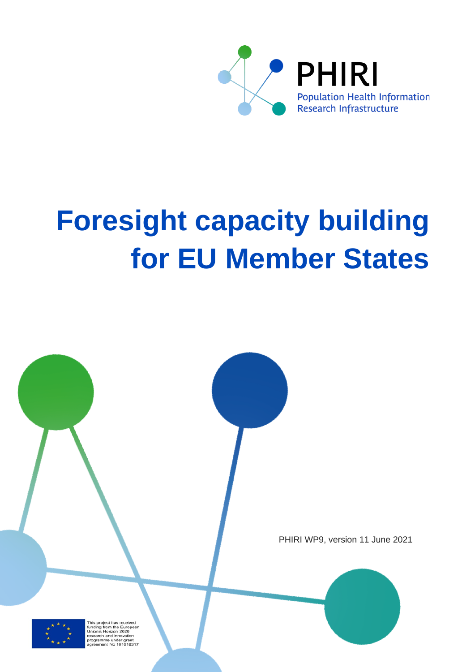

# **Foresight capacity building for EU Member States**





and inno ne under gram<br>ht No 101018317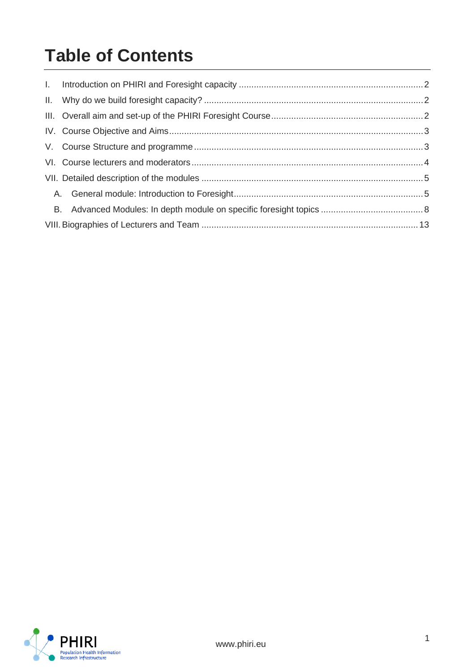## **Table of Contents**

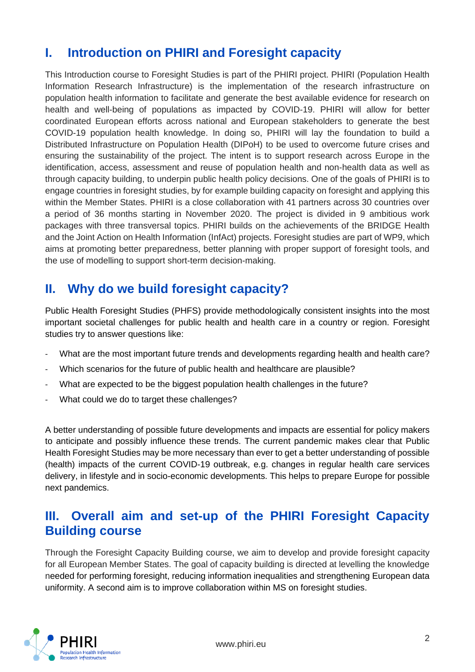## <span id="page-2-0"></span>**I. Introduction on PHIRI and Foresight capacity**

This Introduction course to Foresight Studies is part of the PHIRI project. PHIRI (Population Health Information Research Infrastructure) is the implementation of the research infrastructure on population health information to facilitate and generate the best available evidence for research on health and well-being of populations as impacted by COVID-19. PHIRI will allow for better coordinated European efforts across national and European stakeholders to generate the best COVID-19 population health knowledge. In doing so, PHIRI will lay the foundation to build a Distributed Infrastructure on Population Health (DIPoH) to be used to overcome future crises and ensuring the sustainability of the project. The intent is to support research across Europe in the identification, access, assessment and reuse of population health and non-health data as well as through capacity building, to underpin public health policy decisions. One of the goals of PHIRI is to engage countries in foresight studies, by for example building capacity on foresight and applying this within the Member States. PHIRI is a close collaboration with 41 partners across 30 countries over a period of 36 months starting in November 2020. The project is divided in 9 ambitious work packages with three transversal topics. PHIRI builds on the achievements of the BRIDGE Health and the Joint Action on Health Information (InfAct) projects. Foresight studies are part of WP9, which aims at promoting better preparedness, better planning with proper support of foresight tools, and the use of modelling to support short-term decision-making.

## <span id="page-2-1"></span>**II. Why do we build foresight capacity?**

Public Health Foresight Studies (PHFS) provide methodologically consistent insights into the most important societal challenges for public health and health care in a country or region. Foresight studies try to answer questions like:

- What are the most important future trends and developments regarding health and health care?
- Which scenarios for the future of public health and healthcare are plausible?
- What are expected to be the biggest population health challenges in the future?
- What could we do to target these challenges?

A better understanding of possible future developments and impacts are essential for policy makers to anticipate and possibly influence these trends. The current pandemic makes clear that Public Health Foresight Studies may be more necessary than ever to get a better understanding of possible (health) impacts of the current COVID-19 outbreak, e.g. changes in regular health care services delivery, in lifestyle and in socio-economic developments. This helps to prepare Europe for possible next pandemics.

### <span id="page-2-2"></span>**III. Overall aim and set-up of the PHIRI Foresight Capacity Building course**

Through the Foresight Capacity Building course, we aim to develop and provide foresight capacity for all European Member States. The goal of capacity building is directed at levelling the knowledge needed for performing foresight, reducing information inequalities and strengthening European data uniformity. A second aim is to improve collaboration within MS on foresight studies.

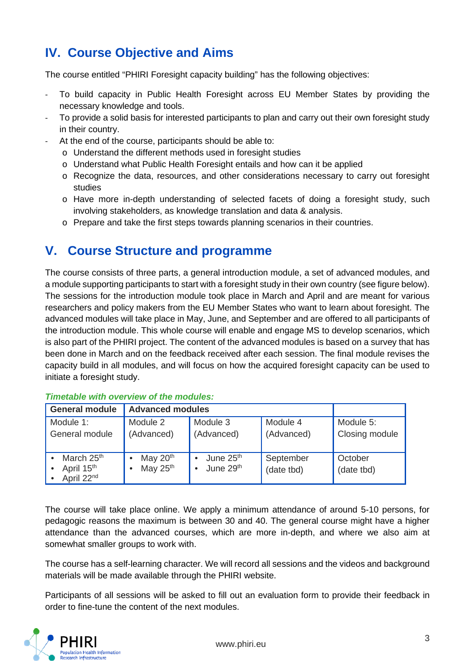## <span id="page-3-0"></span>**IV. Course Objective and Aims**

The course entitled "PHIRI Foresight capacity building" has the following objectives:

- To build capacity in Public Health Foresight across EU Member States by providing the necessary knowledge and tools.
- To provide a solid basis for interested participants to plan and carry out their own foresight study in their country.
- At the end of the course, participants should be able to:
	- o Understand the different methods used in foresight studies
	- o Understand what Public Health Foresight entails and how can it be applied
	- o Recognize the data, resources, and other considerations necessary to carry out foresight studies
	- o Have more in-depth understanding of selected facets of doing a foresight study, such involving stakeholders, as knowledge translation and data & analysis.
	- o Prepare and take the first steps towards planning scenarios in their countries.

## <span id="page-3-1"></span>**V. Course Structure and programme**

The course consists of three parts, a general introduction module, a set of advanced modules, and a module supporting participants to start with a foresight study in their own country (see figure below). The sessions for the introduction module took place in March and April and are meant for various researchers and policy makers from the EU Member States who want to learn about foresight. The advanced modules will take place in May, June, and September and are offered to all participants of the introduction module. This whole course will enable and engage MS to develop scenarios, which is also part of the PHIRI project. The content of the advanced modules is based on a survey that has been done in March and on the feedback received after each session. The final module revises the capacity build in all modules, and will focus on how the acquired foresight capacity can be used to initiate a foresight study.

| <b>General module</b>                                                      | <b>Advanced modules</b>  |                                                                          |                         |                             |
|----------------------------------------------------------------------------|--------------------------|--------------------------------------------------------------------------|-------------------------|-----------------------------|
| Module 1:<br>General module                                                | Module 2<br>(Advanced)   | Module 3<br>(Advanced)                                                   | Module 4<br>(Advanced)  | Module 5:<br>Closing module |
| March 25 <sup>th</sup><br>April 15 <sup>th</sup><br>April 22 <sup>nd</sup> | May $20th$<br>May $25th$ | June 25 <sup>th</sup><br>$\bullet$<br>June 29 <sup>th</sup><br>$\bullet$ | September<br>(date tbd) | October<br>(date tbd)       |

#### *Timetable with overview of the modules:*

The course will take place online. We apply a minimum attendance of around 5-10 persons, for pedagogic reasons the maximum is between 30 and 40. The general course might have a higher attendance than the advanced courses, which are more in-depth, and where we also aim at somewhat smaller groups to work with.

The course has a self-learning character. We will record all sessions and the videos and background materials will be made available through the PHIRI website.

Participants of all sessions will be asked to fill out an evaluation form to provide their feedback in order to fine-tune the content of the next modules.

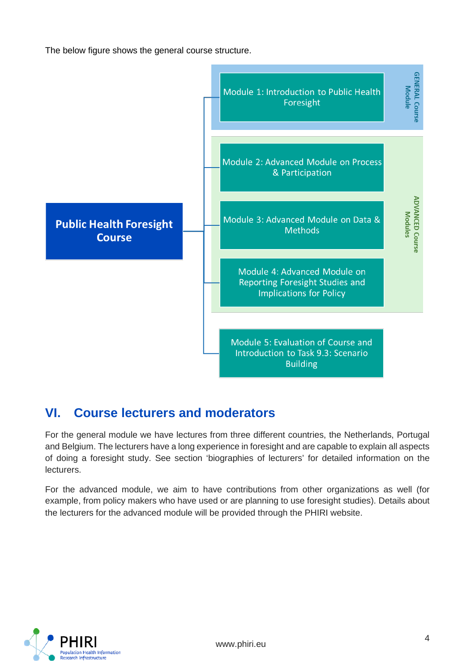The below figure shows the general course structure.



## <span id="page-4-0"></span>**VI. Course lecturers and moderators**

For the general module we have lectures from three different countries, the Netherlands, Portugal and Belgium. The lecturers have a long experience in foresight and are capable to explain all aspects of doing a foresight study. See section 'biographies of lecturers' for detailed information on the lecturers.

For the advanced module, we aim to have contributions from other organizations as well (for example, from policy makers who have used or are planning to use foresight studies). Details about the lecturers for the advanced module will be provided through the PHIRI website.

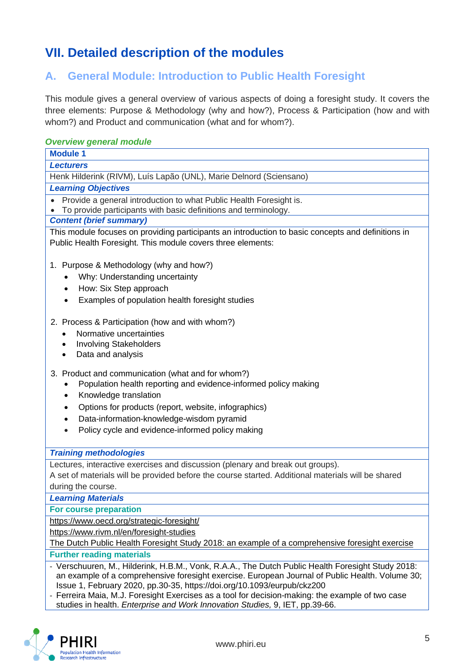## <span id="page-5-0"></span>**VII. Detailed description of the modules**

## <span id="page-5-1"></span>**A. General Module: Introduction to Public Health Foresight**

This module gives a general overview of various aspects of doing a foresight study. It covers the three elements: Purpose & Methodology (why and how?), Process & Participation (how and with whom?) and Product and communication (what and for whom?).

| <b>Overview general module</b>                                                                                                                                                                                                                                                                                                                                                      |  |  |  |  |
|-------------------------------------------------------------------------------------------------------------------------------------------------------------------------------------------------------------------------------------------------------------------------------------------------------------------------------------------------------------------------------------|--|--|--|--|
| <b>Module 1</b>                                                                                                                                                                                                                                                                                                                                                                     |  |  |  |  |
| <b>Lecturers</b>                                                                                                                                                                                                                                                                                                                                                                    |  |  |  |  |
| Henk Hilderink (RIVM), Luís Lapão (UNL), Marie Delnord (Sciensano)                                                                                                                                                                                                                                                                                                                  |  |  |  |  |
| <b>Learning Objectives</b>                                                                                                                                                                                                                                                                                                                                                          |  |  |  |  |
| Provide a general introduction to what Public Health Foresight is.                                                                                                                                                                                                                                                                                                                  |  |  |  |  |
| To provide participants with basic definitions and terminology.                                                                                                                                                                                                                                                                                                                     |  |  |  |  |
| <b>Content (brief summary)</b>                                                                                                                                                                                                                                                                                                                                                      |  |  |  |  |
| This module focuses on providing participants an introduction to basic concepts and definitions in<br>Public Health Foresight. This module covers three elements:                                                                                                                                                                                                                   |  |  |  |  |
| 1. Purpose & Methodology (why and how?)                                                                                                                                                                                                                                                                                                                                             |  |  |  |  |
| Why: Understanding uncertainty                                                                                                                                                                                                                                                                                                                                                      |  |  |  |  |
| How: Six Step approach<br>$\bullet$                                                                                                                                                                                                                                                                                                                                                 |  |  |  |  |
| Examples of population health foresight studies<br>$\bullet$                                                                                                                                                                                                                                                                                                                        |  |  |  |  |
| 2. Process & Participation (how and with whom?)                                                                                                                                                                                                                                                                                                                                     |  |  |  |  |
| Normative uncertainties<br>$\bullet$                                                                                                                                                                                                                                                                                                                                                |  |  |  |  |
| <b>Involving Stakeholders</b><br>$\bullet$                                                                                                                                                                                                                                                                                                                                          |  |  |  |  |
| Data and analysis<br>$\bullet$                                                                                                                                                                                                                                                                                                                                                      |  |  |  |  |
| 3. Product and communication (what and for whom?)<br>Population health reporting and evidence-informed policy making                                                                                                                                                                                                                                                                |  |  |  |  |
|                                                                                                                                                                                                                                                                                                                                                                                     |  |  |  |  |
| Knowledge translation<br>$\bullet$                                                                                                                                                                                                                                                                                                                                                  |  |  |  |  |
| Options for products (report, website, infographics)<br>$\bullet$                                                                                                                                                                                                                                                                                                                   |  |  |  |  |
| Data-information-knowledge-wisdom pyramid<br>$\bullet$                                                                                                                                                                                                                                                                                                                              |  |  |  |  |
| Policy cycle and evidence-informed policy making<br>$\bullet$                                                                                                                                                                                                                                                                                                                       |  |  |  |  |
| <b>Training methodologies</b>                                                                                                                                                                                                                                                                                                                                                       |  |  |  |  |
| Lectures, interactive exercises and discussion (plenary and break out groups).                                                                                                                                                                                                                                                                                                      |  |  |  |  |
| A set of materials will be provided before the course started. Additional materials will be shared                                                                                                                                                                                                                                                                                  |  |  |  |  |
| during the course.                                                                                                                                                                                                                                                                                                                                                                  |  |  |  |  |
| <b>Learning Materials</b>                                                                                                                                                                                                                                                                                                                                                           |  |  |  |  |
| For course preparation                                                                                                                                                                                                                                                                                                                                                              |  |  |  |  |
| https://www.oecd.org/strategic-foresight/                                                                                                                                                                                                                                                                                                                                           |  |  |  |  |
| https://www.rivm.nl/en/foresight-studies                                                                                                                                                                                                                                                                                                                                            |  |  |  |  |
| The Dutch Public Health Foresight Study 2018: an example of a comprehensive foresight exercise                                                                                                                                                                                                                                                                                      |  |  |  |  |
| <b>Further reading materials</b>                                                                                                                                                                                                                                                                                                                                                    |  |  |  |  |
| - Verschuuren, M., Hilderink, H.B.M., Vonk, R.A.A., The Dutch Public Health Foresight Study 2018:<br>an example of a comprehensive foresight exercise. European Journal of Public Health. Volume 30;<br>Issue 1, February 2020, pp.30-35, https://doi.org/10.1093/eurpub/ckz200<br>- Ferreira Maia, M.J. Foresight Exercises as a tool for decision-making: the example of two case |  |  |  |  |



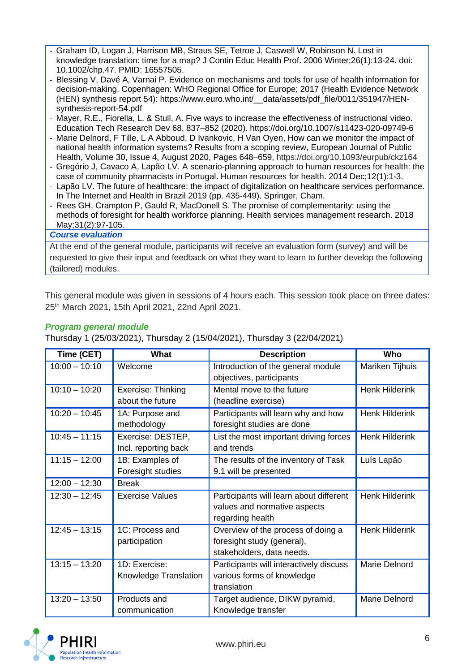- Graham ID, Logan J, Harrison MB, Straus SE, Tetroe J, Caswell W, Robinson N. Lost in knowledge translation: time for a map? J Contin Educ Health Prof. 2006 Winter;26(1):13-24. doi: 10.1002/chp.47. PMID: 16557505.
- Blessing V, Davé A, Varnai P. Evidence on mechanisms and tools for use of health information for decision-making. Copenhagen: WHO Regional Office for Europe; 2017 (Health Evidence Network (HEN) synthesis report 54): https://www.euro.who.int/\_\_data/assets/pdf\_file/0011/351947/HENsynthesis-report-54.pdf
- Mayer, R.E., Fiorella, L. & Stull, A. Five ways to increase the effectiveness of instructional video. Education Tech Research Dev 68, 837–852 (2020). https://doi.org/10.1007/s11423-020-09749-6
- Marie Delnord, F Tille, L A Abboud, D Ivankovic, H Van Oyen, How can we monitor the impact of national health information systems? Results from a scoping review, European Journal of Public Health, Volume 30, Issue 4, August 2020, Pages 648–659,<https://doi.org/10.1093/eurpub/ckz164>
- Gregório J, Cavaco A, Lapão LV. A scenario-planning approach to human resources for health: the case of community pharmacists in Portugal. Human resources for health. 2014 Dec;12(1):1-3.
- Lapão LV. The future of healthcare: the impact of digitalization on healthcare services performance. In The Internet and Health in Brazil 2019 (pp. 435-449). Springer, Cham.
- Rees GH, Crampton P, Gauld R, MacDonell S. The promise of complementarity: using the methods of foresight for health workforce planning. Health services management research. 2018 May;31(2):97-105.

#### *Course evaluation*

At the end of the general module, participants will receive an evaluation form (survey) and will be requested to give their input and feedback on what they want to learn to further develop the following (tailored) modules.

This general module was given in sessions of 4 hours each. This session took place on three dates: 25th March 2021, 15th April 2021, 22nd April 2021.

#### *Program general module*

Thursday 1 (25/03/2021), Thursday 2 (15/04/2021), Thursday 3 (22/04/2021)

| Time (CET)      | What                                      | <b>Description</b>                                                                            | Who                   |
|-----------------|-------------------------------------------|-----------------------------------------------------------------------------------------------|-----------------------|
| $10:00 - 10:10$ | Welcome                                   | Introduction of the general module<br>objectives, participants                                | Mariken Tijhuis       |
| $10:10 - 10:20$ | Exercise: Thinking<br>about the future    | Mental move to the future<br>(headline exercise)                                              | <b>Henk Hilderink</b> |
| $10:20 - 10:45$ | 1A: Purpose and<br>methodology            | Participants will learn why and how<br>foresight studies are done                             | <b>Henk Hilderink</b> |
| $10:45 - 11:15$ | Exercise: DESTEP,<br>Incl. reporting back | List the most important driving forces<br>and trends                                          | <b>Henk Hilderink</b> |
| $11:15 - 12:00$ | 1B: Examples of<br>Foresight studies      | The results of the inventory of Task<br>9.1 will be presented                                 | Luís Lapão            |
| $12:00 - 12:30$ | <b>Break</b>                              |                                                                                               |                       |
| $12:30 - 12:45$ | <b>Exercise Values</b>                    | Participants will learn about different<br>values and normative aspects<br>regarding health   | <b>Henk Hilderink</b> |
| $12:45 - 13:15$ | 1C: Process and<br>participation          | Overview of the process of doing a<br>foresight study (general),<br>stakeholders, data needs. | <b>Henk Hilderink</b> |
| $13:15 - 13:20$ | 1D: Exercise:<br>Knowledge Translation    | Participants will interactively discuss<br>various forms of knowledge<br>translation          | Marie Delnord         |
| $13:20 - 13:50$ | Products and<br>communication             | Target audience, DIKW pyramid,<br>Knowledge transfer                                          | Marie Delnord         |

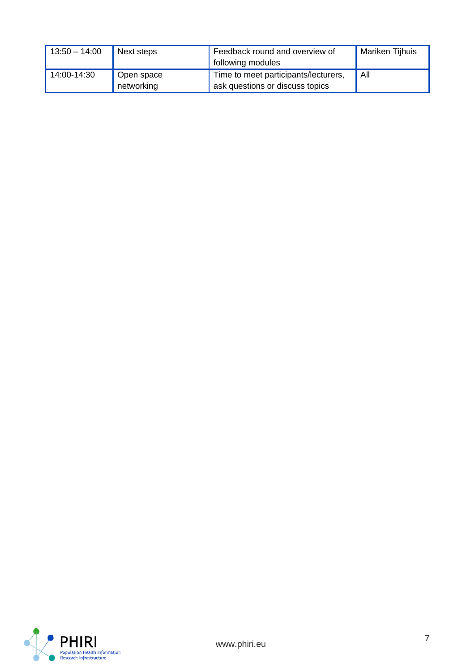<span id="page-7-0"></span>

| $13:50 - 14:00$ | Next steps               | Feedback round and overview of<br>following modules                     | Mariken Tijhuis |
|-----------------|--------------------------|-------------------------------------------------------------------------|-----------------|
| 14:00-14:30     | Open space<br>networking | Time to meet participants/lecturers,<br>ask questions or discuss topics | All             |

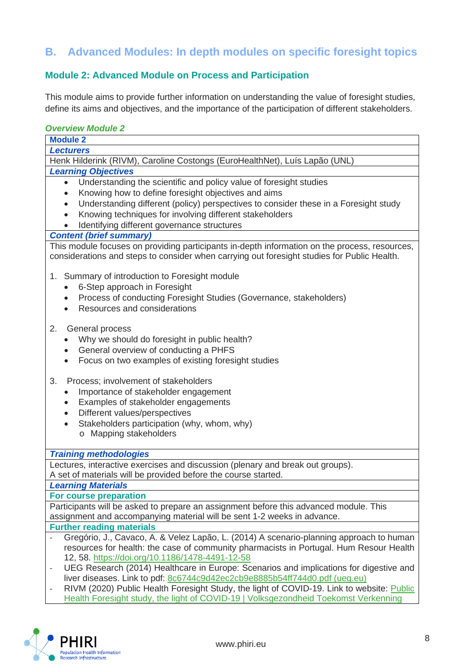## **B. Advanced Modules: In depth modules on specific foresight topics**

## **Module 2: Advanced Module on Process and Participation**

This module aims to provide further information on understanding the value of foresight studies, define its aims and objectives, and the importance of the participation of different stakeholders.

#### *Overview Module 2*

| <b>Module 2</b>                                                                                                                                                                              |  |  |  |  |
|----------------------------------------------------------------------------------------------------------------------------------------------------------------------------------------------|--|--|--|--|
| <b>Lecturers</b>                                                                                                                                                                             |  |  |  |  |
| Henk Hilderink (RIVM), Caroline Costongs (EuroHealthNet), Luís Lapão (UNL)                                                                                                                   |  |  |  |  |
| <b>Learning Objectives</b>                                                                                                                                                                   |  |  |  |  |
| Understanding the scientific and policy value of foresight studies<br>$\bullet$                                                                                                              |  |  |  |  |
| Knowing how to define foresight objectives and aims<br>$\bullet$                                                                                                                             |  |  |  |  |
| Understanding different (policy) perspectives to consider these in a Foresight study<br>$\bullet$                                                                                            |  |  |  |  |
| Knowing techniques for involving different stakeholders<br>$\bullet$                                                                                                                         |  |  |  |  |
| Identifying different governance structures                                                                                                                                                  |  |  |  |  |
| <b>Content (brief summary)</b>                                                                                                                                                               |  |  |  |  |
| This module focuses on providing participants in-depth information on the process, resources,<br>considerations and steps to consider when carrying out foresight studies for Public Health. |  |  |  |  |
|                                                                                                                                                                                              |  |  |  |  |
| 1. Summary of introduction to Foresight module                                                                                                                                               |  |  |  |  |
| 6-Step approach in Foresight<br>$\bullet$                                                                                                                                                    |  |  |  |  |
| Process of conducting Foresight Studies (Governance, stakeholders)<br>$\bullet$                                                                                                              |  |  |  |  |
| Resources and considerations                                                                                                                                                                 |  |  |  |  |
|                                                                                                                                                                                              |  |  |  |  |
| 2.<br>General process                                                                                                                                                                        |  |  |  |  |
| Why we should do foresight in public health?                                                                                                                                                 |  |  |  |  |
| General overview of conducting a PHFS<br>Focus on two examples of existing foresight studies                                                                                                 |  |  |  |  |
|                                                                                                                                                                                              |  |  |  |  |
| 3.<br>Process; involvement of stakeholders                                                                                                                                                   |  |  |  |  |
| Importance of stakeholder engagement<br>$\bullet$                                                                                                                                            |  |  |  |  |
| Examples of stakeholder engagements<br>$\bullet$                                                                                                                                             |  |  |  |  |
| Different values/perspectives<br>$\bullet$                                                                                                                                                   |  |  |  |  |
| Stakeholders participation (why, whom, why)<br>$\bullet$                                                                                                                                     |  |  |  |  |
| o Mapping stakeholders                                                                                                                                                                       |  |  |  |  |
|                                                                                                                                                                                              |  |  |  |  |
| <b>Training methodologies</b>                                                                                                                                                                |  |  |  |  |
| Lectures, interactive exercises and discussion (plenary and break out groups).                                                                                                               |  |  |  |  |
| A set of materials will be provided before the course started.                                                                                                                               |  |  |  |  |
| <b>Learning Materials</b>                                                                                                                                                                    |  |  |  |  |
| For course preparation                                                                                                                                                                       |  |  |  |  |
| Participants will be asked to prepare an assignment before this advanced module. This                                                                                                        |  |  |  |  |
| assignment and accompanying material will be sent 1-2 weeks in advance.                                                                                                                      |  |  |  |  |
| <b>Further reading materials</b>                                                                                                                                                             |  |  |  |  |
| Gregório, J., Cavaco, A. & Velez Lapão, L. (2014) A scenario-planning approach to human<br>resources for health: the case of community pharmacists in Portugal. Hum Resour Health            |  |  |  |  |
| 12, 58. https://doi.org/10.1186/1478-4491-12-58                                                                                                                                              |  |  |  |  |
| UEG Research (2014) Healthcare in Europe: Scenarios and implications for digestive and<br>$\overline{\phantom{0}}$                                                                           |  |  |  |  |
| liver diseases. Link to pdf: 8c6744c9d42ec2cb9e8885b54ff744d0.pdf (ueg.eu)                                                                                                                   |  |  |  |  |
| RIVM (2020) Public Health Foresight Study, the light of COVID-19. Link to website: Public                                                                                                    |  |  |  |  |

[Health Foresight study, the light of COVID-19 | Volksgezondheid Toekomst Verkenning](https://www.volksgezondheidtoekomstverkenning.nl/english)

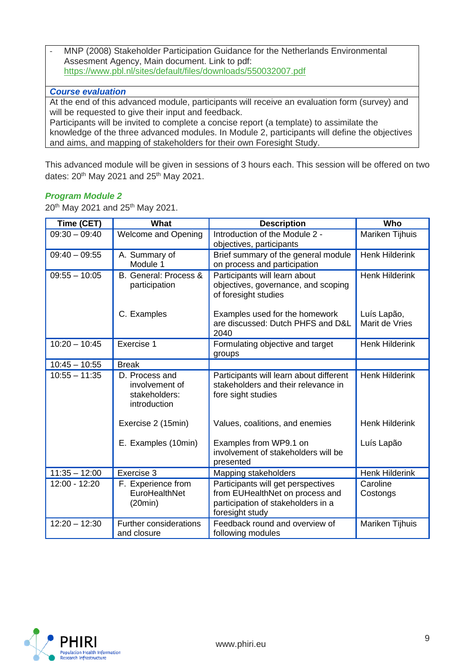- MNP (2008) Stakeholder Participation Guidance for the Netherlands Environmental Assesment Agency, Main document. Link to pdf: <https://www.pbl.nl/sites/default/files/downloads/550032007.pdf>

#### *Course evaluation*

At the end of this advanced module, participants will receive an evaluation form (survey) and will be requested to give their input and feedback.

Participants will be invited to complete a concise report (a template) to assimilate the knowledge of the three advanced modules. In Module 2, participants will define the objectives and aims, and mapping of stakeholders for their own Foresight Study.

This advanced module will be given in sessions of 3 hours each. This session will be offered on two dates:  $20^{th}$  May 2021 and  $25^{th}$  May 2021.

#### *Program Module 2*

20<sup>th</sup> May 2021 and 25<sup>th</sup> May 2021.

| Time (CET)      | <b>What</b>                                                       | <b>Description</b>                                                                                                             | Who                           |
|-----------------|-------------------------------------------------------------------|--------------------------------------------------------------------------------------------------------------------------------|-------------------------------|
| $09:30 - 09:40$ | <b>Welcome and Opening</b>                                        | Introduction of the Module 2 -<br>objectives, participants                                                                     | Mariken Tijhuis               |
| $09:40 - 09:55$ | A. Summary of<br>Module 1                                         | Brief summary of the general module<br>on process and participation                                                            | <b>Henk Hilderink</b>         |
| $09:55 - 10:05$ | B. General: Process &<br>participation                            | Participants will learn about<br>objectives, governance, and scoping<br>of foresight studies                                   | <b>Henk Hilderink</b>         |
|                 | C. Examples                                                       | Examples used for the homework<br>are discussed: Dutch PHFS and D&L<br>2040                                                    | Luís Lapão,<br>Marit de Vries |
| $10:20 - 10:45$ | Exercise 1                                                        | Formulating objective and target<br>groups                                                                                     | <b>Henk Hilderink</b>         |
| $10:45 - 10:55$ | <b>Break</b>                                                      |                                                                                                                                |                               |
| $10:55 - 11:35$ | D. Process and<br>involvement of<br>stakeholders:<br>introduction | Participants will learn about different<br>stakeholders and their relevance in<br>fore sight studies                           | <b>Henk Hilderink</b>         |
|                 | Exercise 2 (15min)                                                | Values, coalitions, and enemies                                                                                                | <b>Henk Hilderink</b>         |
|                 | E. Examples (10min)                                               | Examples from WP9.1 on<br>involvement of stakeholders will be<br>presented                                                     | Luís Lapão                    |
| $11:35 - 12:00$ | Exercise 3                                                        | Mapping stakeholders                                                                                                           | <b>Henk Hilderink</b>         |
| 12:00 - 12:20   | F. Experience from<br>EuroHealthNet<br>(20min)                    | Participants will get perspectives<br>from EUHealthNet on process and<br>participation of stakeholders in a<br>foresight study | Caroline<br>Costongs          |
| $12:20 - 12:30$ | Further considerations<br>and closure                             | Feedback round and overview of<br>following modules                                                                            | Mariken Tijhuis               |

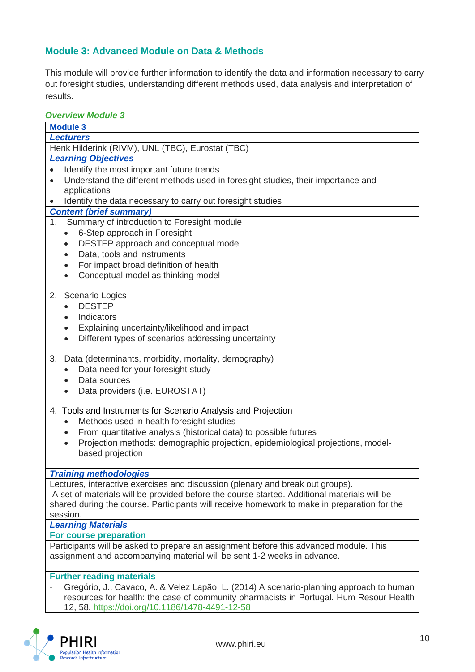#### **Module 3: Advanced Module on Data & Methods**

This module will provide further information to identify the data and information necessary to carry out foresight studies, understanding different methods used, data analysis and interpretation of results.

#### *Overview Module 3*

| טקו יוסיי וווטעשוס                                                                           |  |  |  |  |
|----------------------------------------------------------------------------------------------|--|--|--|--|
| <b>Module 3</b>                                                                              |  |  |  |  |
| <b>Lecturers</b>                                                                             |  |  |  |  |
| Henk Hilderink (RIVM), UNL (TBC), Eurostat (TBC)                                             |  |  |  |  |
| <b>Learning Objectives</b>                                                                   |  |  |  |  |
| Identify the most important future trends                                                    |  |  |  |  |
| Understand the different methods used in foresight studies, their importance and             |  |  |  |  |
| applications                                                                                 |  |  |  |  |
| Identify the data necessary to carry out foresight studies                                   |  |  |  |  |
| <b>Content (brief summary)</b>                                                               |  |  |  |  |
| Summary of introduction to Foresight module<br>1 <sub>1</sub>                                |  |  |  |  |
| 6-Step approach in Foresight<br>$\bullet$                                                    |  |  |  |  |
| DESTEP approach and conceptual model<br>$\bullet$                                            |  |  |  |  |
| Data, tools and instruments<br>$\bullet$                                                     |  |  |  |  |
| For impact broad definition of health<br>$\bullet$                                           |  |  |  |  |
| Conceptual model as thinking model<br>$\bullet$                                              |  |  |  |  |
|                                                                                              |  |  |  |  |
| 2. Scenario Logics                                                                           |  |  |  |  |
| <b>DESTEP</b>                                                                                |  |  |  |  |
| Indicators                                                                                   |  |  |  |  |
| Explaining uncertainty/likelihood and impact<br>$\bullet$                                    |  |  |  |  |
| Different types of scenarios addressing uncertainty<br>$\bullet$                             |  |  |  |  |
|                                                                                              |  |  |  |  |
| 3.<br>Data (determinants, morbidity, mortality, demography)                                  |  |  |  |  |
| Data need for your foresight study                                                           |  |  |  |  |
| Data sources                                                                                 |  |  |  |  |
|                                                                                              |  |  |  |  |
| Data providers (i.e. EUROSTAT)                                                               |  |  |  |  |
| 4. Tools and Instruments for Scenario Analysis and Projection                                |  |  |  |  |
|                                                                                              |  |  |  |  |
| Methods used in health foresight studies<br>$\bullet$                                        |  |  |  |  |
| From quantitative analysis (historical data) to possible futures<br>$\bullet$                |  |  |  |  |
| Projection methods: demographic projection, epidemiological projections, model-<br>$\bullet$ |  |  |  |  |
| based projection                                                                             |  |  |  |  |
|                                                                                              |  |  |  |  |
| <b>Training methodologies</b>                                                                |  |  |  |  |
| Lectures, interactive exercises and discussion (plenary and break out groups).               |  |  |  |  |
| A set of materials will be provided before the course started. Additional materials will be  |  |  |  |  |
| shared during the course. Participants will receive homework to make in preparation for the  |  |  |  |  |
| session.                                                                                     |  |  |  |  |
| <b>Learning Materials</b>                                                                    |  |  |  |  |
| <b>For course preparation</b>                                                                |  |  |  |  |
| Participants will be asked to prepare an assignment before this advanced module. This        |  |  |  |  |
| assignment and accompanying material will be sent 1-2 weeks in advance.                      |  |  |  |  |
|                                                                                              |  |  |  |  |
| <b>Further reading materials</b>                                                             |  |  |  |  |
| Gregório, J., Cavaco, A. & Velez Lapão, L. (2014) A scenario-planning approach to human      |  |  |  |  |
| resources for health: the case of community pharmacists in Portugal. Hum Resour Health       |  |  |  |  |
| 12, 58. https://doi.org/10.1186/1478-4491-12-58                                              |  |  |  |  |

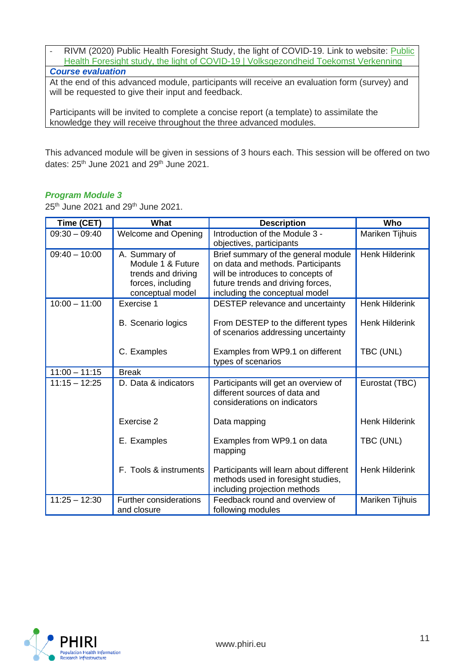| RIVM (2020) Public Health Foresight Study, the light of COVID-19. Link to website: Public     |
|-----------------------------------------------------------------------------------------------|
| Health Foresight study, the light of COVID-19   Volksgezondheid Toekomst Verkenning           |
| <b>Course evaluation</b>                                                                      |
| At the end of this advanced module, participants will receive an evaluation form (survey) and |
| will be requested to give their input and feedback.                                           |

Participants will be invited to complete a concise report (a template) to assimilate the knowledge they will receive throughout the three advanced modules.

This advanced module will be given in sessions of 3 hours each. This session will be offered on two dates:  $25<sup>th</sup>$  June 2021 and  $29<sup>th</sup>$  June 2021.

#### *Program Module 3*

25<sup>th</sup> June 2021 and 29<sup>th</sup> June 2021.

| Time (CET)      | What                                                                                              | <b>Description</b>                                                                                                                                                                   | Who                   |
|-----------------|---------------------------------------------------------------------------------------------------|--------------------------------------------------------------------------------------------------------------------------------------------------------------------------------------|-----------------------|
| $09:30 - 09:40$ | <b>Welcome and Opening</b>                                                                        | Introduction of the Module 3 -<br>objectives, participants                                                                                                                           | Mariken Tijhuis       |
| $09:40 - 10:00$ | A. Summary of<br>Module 1 & Future<br>trends and driving<br>forces, including<br>conceptual model | Brief summary of the general module<br>on data and methods. Participants<br>will be introduces to concepts of<br>future trends and driving forces,<br>including the conceptual model | <b>Henk Hilderink</b> |
| $10:00 - 11:00$ | Exercise 1                                                                                        | DESTEP relevance and uncertainty                                                                                                                                                     | <b>Henk Hilderink</b> |
|                 | B. Scenario logics                                                                                | From DESTEP to the different types<br>of scenarios addressing uncertainty                                                                                                            | <b>Henk Hilderink</b> |
|                 | C. Examples                                                                                       | Examples from WP9.1 on different<br>types of scenarios                                                                                                                               | TBC (UNL)             |
| $11:00 - 11:15$ | <b>Break</b>                                                                                      |                                                                                                                                                                                      |                       |
| $11:15 - 12:25$ | D. Data & indicators                                                                              | Participants will get an overview of<br>different sources of data and<br>considerations on indicators                                                                                | Eurostat (TBC)        |
|                 | Exercise 2                                                                                        | Data mapping                                                                                                                                                                         | <b>Henk Hilderink</b> |
|                 | E. Examples                                                                                       | Examples from WP9.1 on data<br>mapping                                                                                                                                               | TBC (UNL)             |
|                 | F. Tools & instruments                                                                            | Participants will learn about different<br>methods used in foresight studies,<br>including projection methods                                                                        | <b>Henk Hilderink</b> |
| $11:25 - 12:30$ | <b>Further considerations</b><br>and closure                                                      | Feedback round and overview of<br>following modules                                                                                                                                  | Mariken Tijhuis       |

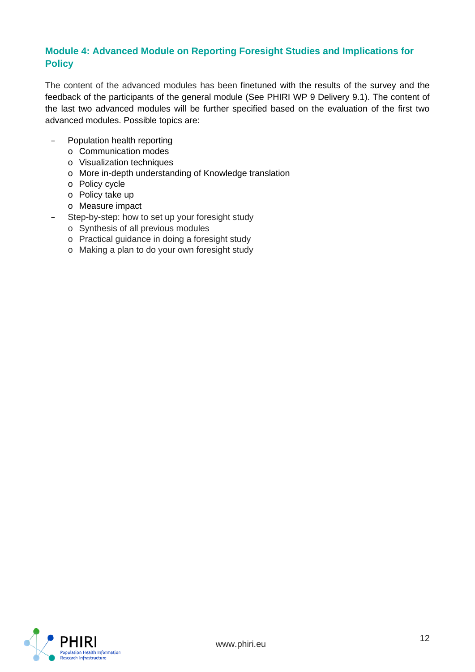#### **Module 4: Advanced Module on Reporting Foresight Studies and Implications for Policy**

The content of the advanced modules has been finetuned with the results of the survey and the feedback of the participants of the general module (See PHIRI WP 9 Delivery 9.1). The content of the last two advanced modules will be further specified based on the evaluation of the first two advanced modules. Possible topics are:

- Population health reporting
	- o Communication modes
	- o Visualization techniques
	- o More in-depth understanding of Knowledge translation
	- o Policy cycle
	- o Policy take up
	- o Measure impact
- Step-by-step: how to set up your foresight study
	- o Synthesis of all previous modules
	- o Practical guidance in doing a foresight study
	- o Making a plan to do your own foresight study

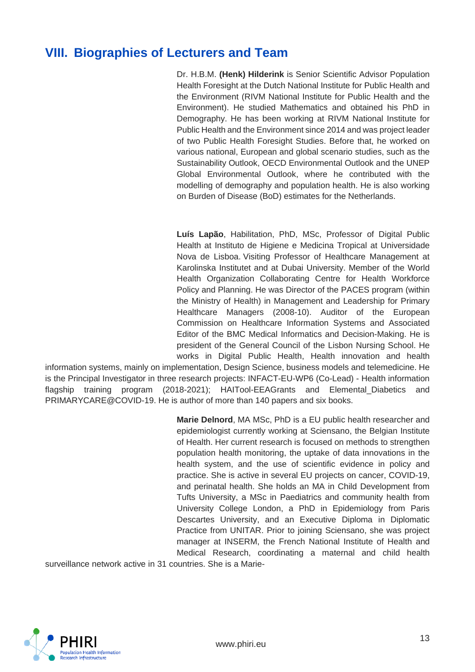## <span id="page-13-0"></span>**VIII. Biographies of Lecturers and Team**

Dr. H.B.M. **(Henk) Hilderink** is Senior Scientific Advisor Population Health Foresight at the Dutch National Institute for Public Health and the Environment (RIVM National Institute for Public Health and the Environment). He studied Mathematics and obtained his PhD in Demography. He has been working at RIVM National Institute for Public Health and the Environment since 2014 and was project leader of two Public Health Foresight Studies. Before that, he worked on various national, European and global scenario studies, such as the Sustainability Outlook, OECD Environmental Outlook and the UNEP Global Environmental Outlook, where he contributed with the modelling of demography and population health. He is also working on Burden of Disease (BoD) estimates for the Netherlands.

**Luís Lapão**, Habilitation, PhD, MSc, Professor of Digital Public Health at Instituto de Higiene e Medicina Tropical at Universidade Nova de Lisboa. Visiting Professor of Healthcare Management at Karolinska Institutet and at Dubai University. Member of the World Health Organization Collaborating Centre for Health Workforce Policy and Planning. He was Director of the PACES program (within the Ministry of Health) in Management and Leadership for Primary Healthcare Managers (2008-10). Auditor of the European Commission on Healthcare Information Systems and Associated Editor of the BMC Medical Informatics and Decision-Making. He is president of the General Council of the Lisbon Nursing School. He works in Digital Public Health, Health innovation and health

information systems, mainly on implementation, Design Science, business models and telemedicine. He is the Principal Investigator in three research projects: INFACT-EU-WP6 (Co-Lead) - Health information flagship training program (2018-2021); HAITool-EEAGrants and Elemental\_Diabetics and PRIMARYCARE@COVID-19. He is author of more than 140 papers and six books.

> **Marie Delnord**, MA MSc, PhD is a EU public health researcher and epidemiologist currently working at Sciensano, the Belgian Institute of Health. Her current research is focused on methods to strengthen population health monitoring, the uptake of data innovations in the health system, and the use of scientific evidence in policy and practice. She is active in several EU projects on cancer, COVID-19, and perinatal health. She holds an MA in Child Development from Tufts University, a MSc in Paediatrics and community health from University College London, a PhD in Epidemiology from Paris Descartes University, and an Executive Diploma in Diplomatic Practice from UNITAR. Prior to joining Sciensano, she was project manager at INSERM, the French National Institute of Health and Medical Research, coordinating a maternal and child health

surveillance network active in 31 countries. She is a Marie-

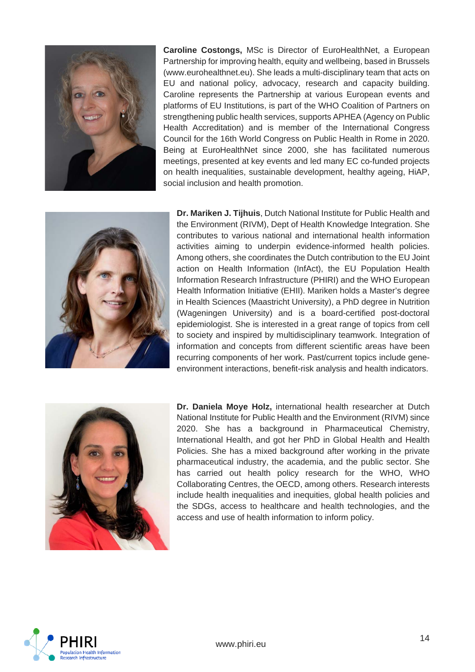

**Caroline Costongs,** MSc is Director of EuroHealthNet, a European Partnership for improving health, equity and wellbeing, based in Brussels (www.eurohealthnet.eu). She leads a multi-disciplinary team that acts on EU and national policy, advocacy, research and capacity building. Caroline represents the Partnership at various European events and platforms of EU Institutions, is part of the WHO Coalition of Partners on strengthening public health services, supports APHEA (Agency on Public Health Accreditation) and is member of the International Congress Council for the 16th World Congress on Public Health in Rome in 2020. Being at EuroHealthNet since 2000, she has facilitated numerous meetings, presented at key events and led many EC co-funded projects on health inequalities, sustainable development, healthy ageing, HiAP, social inclusion and health promotion.



**Dr. Mariken J. Tijhuis**, Dutch National Institute for Public Health and the Environment (RIVM), Dept of Health Knowledge Integration. She contributes to various national and international health information activities aiming to underpin evidence-informed health policies. Among others, she coordinates the Dutch contribution to the EU Joint action on Health Information (InfAct), the EU Population Health Information Research Infrastructure (PHIRI) and the WHO European Health Information Initiative (EHII). Mariken holds a Master's degree in Health Sciences (Maastricht University), a PhD degree in Nutrition (Wageningen University) and is a board-certified post-doctoral epidemiologist. She is interested in a great range of topics from cell to society and inspired by multidisciplinary teamwork. Integration of information and concepts from different scientific areas have been recurring components of her work. Past/current topics include geneenvironment interactions, benefit-risk analysis and health indicators.



**Dr. Daniela Moye Holz,** international health researcher at Dutch National Institute for Public Health and the Environment (RIVM) since 2020. She has a background in Pharmaceutical Chemistry, International Health, and got her PhD in Global Health and Health Policies. She has a mixed background after working in the private pharmaceutical industry, the academia, and the public sector. She has carried out health policy research for the WHO, WHO Collaborating Centres, the OECD, among others. Research interests include health inequalities and inequities, global health policies and the SDGs, access to healthcare and health technologies, and the access and use of health information to inform policy.

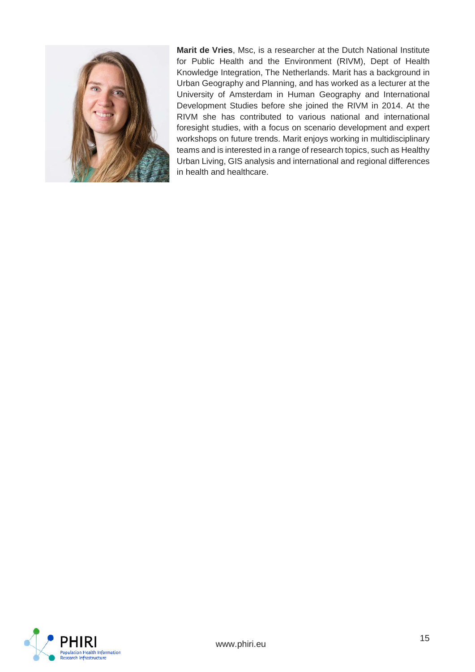

**Marit de Vries**, Msc, is a researcher at the Dutch National Institute for Public Health and the Environment (RIVM), Dept of Health Knowledge Integration, The Netherlands. Marit has a background in Urban Geography and Planning, and has worked as a lecturer at the University of Amsterdam in Human Geography and International Development Studies before she joined the RIVM in 2014. At the RIVM she has contributed to various national and international foresight studies, with a focus on scenario development and expert workshops on future trends. Marit enjoys working in multidisciplinary teams and is interested in a range of research topics, such as Healthy Urban Living, GIS analysis and international and regional differences in health and healthcare.